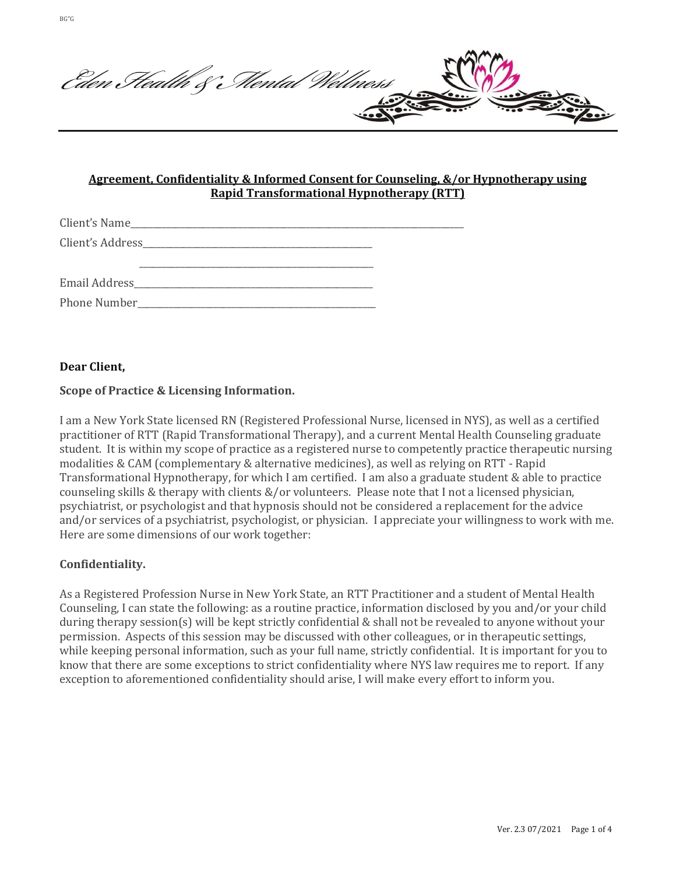Eden Stealth & Mental Wellness **CONTROL** 

# **Agreement, Confidentiality & Informed Consent for Counseling, &/or Hypnotherapy using Rapid Transformational Hypnotherapy (RTT)**

## **Dear Client,**

### **Scope of Practice & Licensing Information.**

I am a New York State licensed RN (Registered Professional Nurse, licensed in NYS), as well as a certified practitioner of RTT (Rapid Transformational Therapy), and a current Mental Health Counseling graduate student. It is within my scope of practice as a registered nurse to competently practice therapeutic nursing modalities & CAM (complementary & alternative medicines), as well as relying on RTT - Rapid Transformational Hypnotherapy, for which I am certified. I am also a graduate student & able to practice counseling skills & therapy with clients &/or volunteers. Please note that I not a licensed physician, psychiatrist, or psychologist and that hypnosis should not be considered a replacement for the advice and/or services of a psychiatrist, psychologist, or physician. I appreciate your willingness to work with me. Here are some dimensions of our work together:

### **Confidentiality.**

As a Registered Profession Nurse in New York State, an RTT Practitioner and a student of Mental Health Counseling, I can state the following: as a routine practice, information disclosed by you and/or your child during therapy session(s) will be kept strictly confidential & shall not be revealed to anyone without your permission. Aspects of this session may be discussed with other colleagues, or in therapeutic settings, while keeping personal information, such as your full name, strictly confidential. It is important for you to know that there are some exceptions to strict confidentiality where NYS law requires me to report. If any exception to aforementioned confidentiality should arise, I will make every effort to inform you.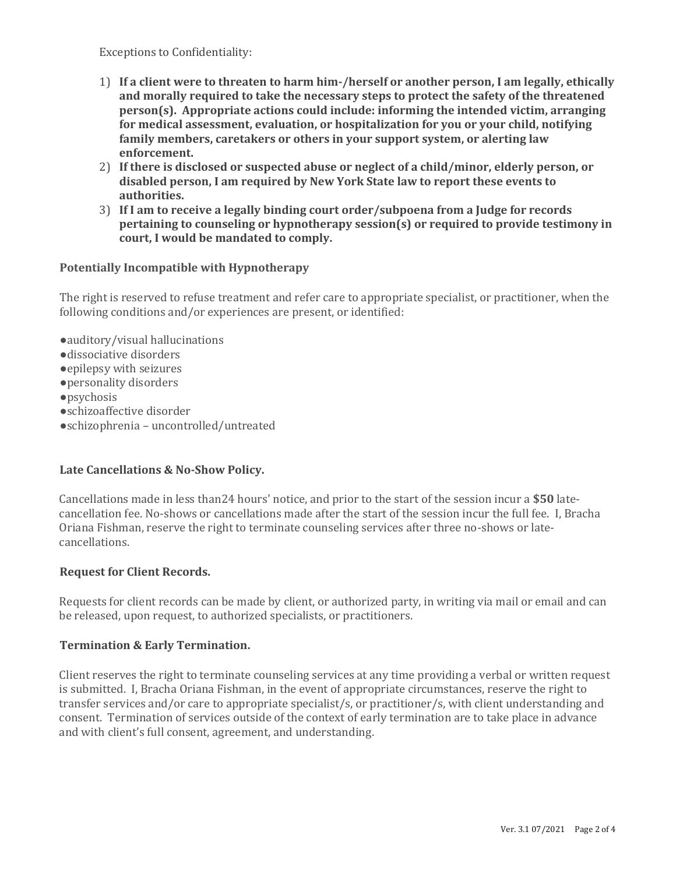Exceptions to Confidentiality:

- 1) **If a client were to threaten to harm him-/herself or another person, I am legally, ethically and morally required to take the necessary steps to protect the safety of the threatened person(s). Appropriate actions could include: informing the intended victim, arranging for medical assessment, evaluation, or hospitalization for you or your child, notifying family members, caretakers or others in your support system, or alerting law enforcement.**
- 2) **If there is disclosed or suspected abuse or neglect of a child/minor, elderly person, or disabled person, I am required by New York State law to report these events to authorities.**
- 3) **If I am to receive a legally binding court order/subpoena from a Judge for records pertaining to counseling or hypnotherapy session(s) or required to provide testimony in court, I would be mandated to comply.**

## **Potentially Incompatible with Hypnotherapy**

The right is reserved to refuse treatment and refer care to appropriate specialist, or practitioner, when the following conditions and/or experiences are present, or identified:

●auditory/visual hallucinations ●dissociative disorders ●epilepsy with seizures ●personality disorders ●psychosis ●schizoaffective disorder ●schizophrenia – uncontrolled/untreated

### **Late Cancellations & No-Show Policy.**

Cancellations made in less than24 hours' notice, and prior to the start of the session incur a **\$50** latecancellation fee. No-shows or cancellations made after the start of the session incur the full fee. I, Bracha Oriana Fishman, reserve the right to terminate counseling services after three no-shows or latecancellations.

### **Request for Client Records.**

Requests for client records can be made by client, or authorized party, in writing via mail or email and can be released, upon request, to authorized specialists, or practitioners.

### **Termination & Early Termination.**

Client reserves the right to terminate counseling services at any time providing a verbal or written request is submitted. I, Bracha Oriana Fishman, in the event of appropriate circumstances, reserve the right to transfer services and/or care to appropriate specialist/s, or practitioner/s, with client understanding and consent. Termination of services outside of the context of early termination are to take place in advance and with client's full consent, agreement, and understanding.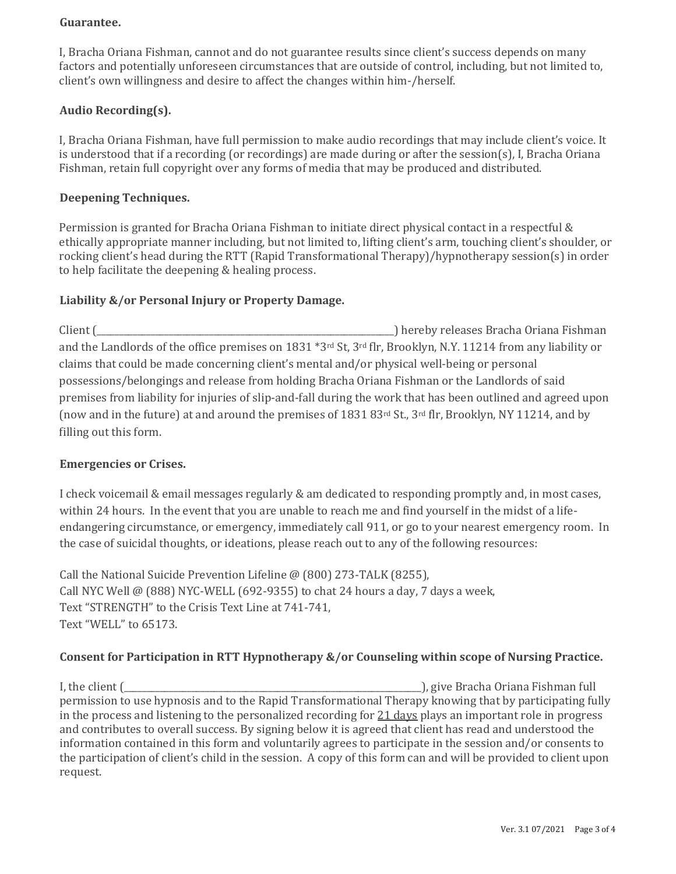### **Guarantee.**

I, Bracha Oriana Fishman, cannot and do not guarantee results since client's success depends on many factors and potentially unforeseen circumstances that are outside of control, including, but not limited to, client's own willingness and desire to affect the changes within him-/herself.

# **Audio Recording(s).**

I, Bracha Oriana Fishman, have full permission to make audio recordings that may include client's voice. It is understood that if a recording (or recordings) are made during or after the session(s), I, Bracha Oriana Fishman, retain full copyright over any forms of media that may be produced and distributed.

### **Deepening Techniques.**

Permission is granted for Bracha Oriana Fishman to initiate direct physical contact in a respectful & ethically appropriate manner including, but not limited to, lifting client's arm, touching client's shoulder, or rocking client's head during the RTT (Rapid Transformational Therapy)/hypnotherapy session(s) in order to help facilitate the deepening & healing process.

### **Liability &/or Personal Injury or Property Damage.**

Client (\_\_\_\_\_\_\_\_\_\_\_\_\_\_\_\_\_\_\_\_\_\_\_\_\_\_\_\_\_\_\_\_\_\_\_\_\_\_\_\_\_\_\_\_\_\_\_\_\_\_\_\_\_\_\_\_\_\_\_\_\_\_\_\_\_\_) hereby releases Bracha Oriana Fishman and the Landlords of the office premises on 1831 \*3rd St, 3rd flr, Brooklyn, N.Y. 11214 from any liability or claims that could be made concerning client's mental and/or physical well-being or personal possessions/belongings and release from holding Bracha Oriana Fishman or the Landlords of said premises from liability for injuries of slip-and-fall during the work that has been outlined and agreed upon (now and in the future) at and around the premises of 1831 83rd St., 3rd flr, Brooklyn, NY 11214, and by filling out this form.

#### **Emergencies or Crises.**

I check voicemail & email messages regularly & am dedicated to responding promptly and, in most cases, within 24 hours. In the event that you are unable to reach me and find yourself in the midst of a lifeendangering circumstance, or emergency, immediately call 911, or go to your nearest emergency room. In the case of suicidal thoughts, or ideations, please reach out to any of the following resources:

Call the National Suicide Prevention Lifeline @ (800) 273-TALK (8255), Call NYC Well @ (888) NYC-WELL (692-9355) to chat 24 hours a day, 7 days a week, Text "STRENGTH" to the Crisis Text Line at 741-741, Text "WELL" to 65173.

### **Consent for Participation in RTT Hypnotherapy &/or Counseling within scope of Nursing Practice.**

I, the client (\_\_\_\_\_\_\_\_\_\_\_\_\_\_\_\_\_\_\_\_\_\_\_\_\_\_\_\_\_\_\_\_\_\_\_\_\_\_\_\_\_\_\_\_\_\_\_\_\_\_\_\_\_\_\_\_\_\_\_\_\_\_\_\_\_\_), give Bracha Oriana Fishman full permission to use hypnosis and to the Rapid Transformational Therapy knowing that by participating fully in the process and listening to the personalized recording for 21 days plays an important role in progress and contributes to overall success. By signing below it is agreed that client has read and understood the information contained in this form and voluntarily agrees to participate in the session and/or consents to the participation of client's child in the session. A copy of this form can and will be provided to client upon request.